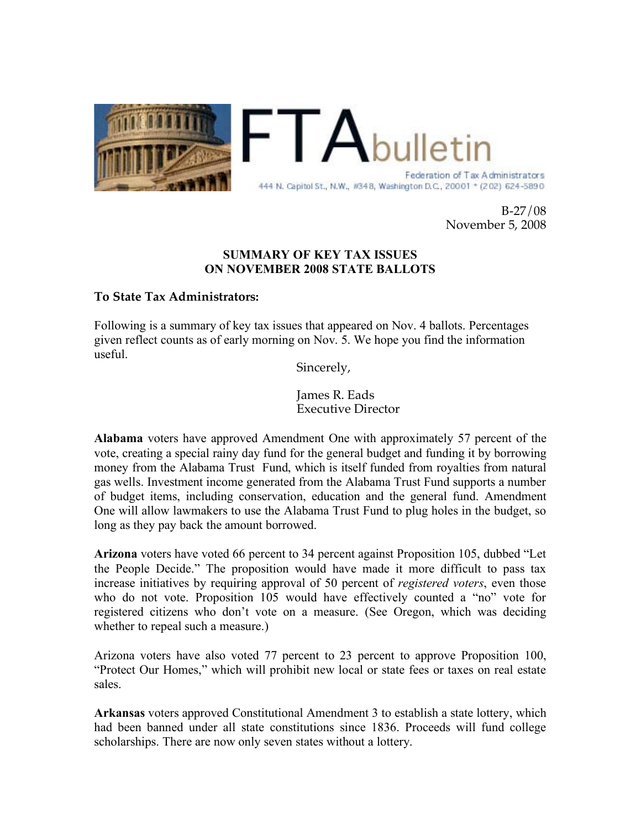

 ${\sf FTA}_{{\sf bull}}$ Federation of Tax Administrators 444 N. Capitol St., N.W., #348, Washington D.C., 20001 + (202) 624-5890

> B-27/08 November 5, 2008

## **SUMMARY OF KEY TAX ISSUES ON NOVEMBER 2008 STATE BALLOTS**

## **To State Tax Administrators:**

Following is a summary of key tax issues that appeared on Nov. 4 ballots. Percentages given reflect counts as of early morning on Nov. 5. We hope you find the information useful.

Sincerely,

James R. Eads Executive Director

**Alabama** voters have approved Amendment One with approximately 57 percent of the vote, creating a special rainy day fund for the general budget and funding it by borrowing money from the Alabama Trust Fund, which is itself funded from royalties from natural gas wells. Investment income generated from the Alabama Trust Fund supports a number of budget items, including conservation, education and the general fund. Amendment One will allow lawmakers to use the Alabama Trust Fund to plug holes in the budget, so long as they pay back the amount borrowed.

**Arizona** voters have voted 66 percent to 34 percent against Proposition 105, dubbed "Let the People Decide." The proposition would have made it more difficult to pass tax increase initiatives by requiring approval of 50 percent of *registered voters*, even those who do not vote. Proposition 105 would have effectively counted a "no" vote for registered citizens who don't vote on a measure. (See Oregon, which was deciding whether to repeal such a measure.)

Arizona voters have also voted 77 percent to 23 percent to approve Proposition 100, "Protect Our Homes," which will prohibit new local or state fees or taxes on real estate sales.

**Arkansas** voters approved Constitutional Amendment 3 to establish a state lottery, which had been banned under all state constitutions since 1836. Proceeds will fund college scholarships. There are now only seven states without a lottery.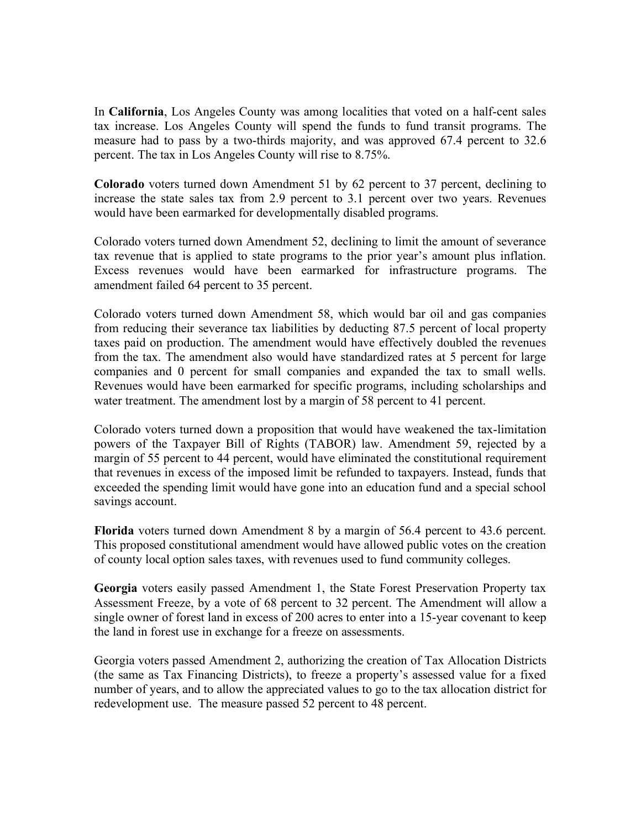In **California**, Los Angeles County was among localities that voted on a half-cent sales tax increase. Los Angeles County will spend the funds to fund transit programs. The measure had to pass by a two-thirds majority, and was approved 67.4 percent to 32.6 percent. The tax in Los Angeles County will rise to 8.75%.

**Colorado** voters turned down Amendment 51 by 62 percent to 37 percent, declining to increase the state sales tax from 2.9 percent to 3.1 percent over two years. Revenues would have been earmarked for developmentally disabled programs.

Colorado voters turned down Amendment 52, declining to limit the amount of severance tax revenue that is applied to state programs to the prior year's amount plus inflation. Excess revenues would have been earmarked for infrastructure programs. The amendment failed 64 percent to 35 percent.

Colorado voters turned down Amendment 58, which would bar oil and gas companies from reducing their severance tax liabilities by deducting 87.5 percent of local property taxes paid on production. The amendment would have effectively doubled the revenues from the tax. The amendment also would have standardized rates at 5 percent for large companies and 0 percent for small companies and expanded the tax to small wells. Revenues would have been earmarked for specific programs, including scholarships and water treatment. The amendment lost by a margin of 58 percent to 41 percent.

Colorado voters turned down a proposition that would have weakened the tax-limitation powers of the Taxpayer Bill of Rights (TABOR) law. Amendment 59, rejected by a margin of 55 percent to 44 percent, would have eliminated the constitutional requirement that revenues in excess of the imposed limit be refunded to taxpayers. Instead, funds that exceeded the spending limit would have gone into an education fund and a special school savings account.

**Florida** voters turned down Amendment 8 by a margin of 56.4 percent to 43.6 percent. This proposed constitutional amendment would have allowed public votes on the creation of county local option sales taxes, with revenues used to fund community colleges.

**Georgia** voters easily passed Amendment 1, the State Forest Preservation Property tax Assessment Freeze, by a vote of 68 percent to 32 percent. The Amendment will allow a single owner of forest land in excess of 200 acres to enter into a 15-year covenant to keep the land in forest use in exchange for a freeze on assessments.

Georgia voters passed Amendment 2, authorizing the creation of Tax Allocation Districts (the same as Tax Financing Districts), to freeze a property's assessed value for a fixed number of years, and to allow the appreciated values to go to the tax allocation district for redevelopment use. The measure passed 52 percent to 48 percent.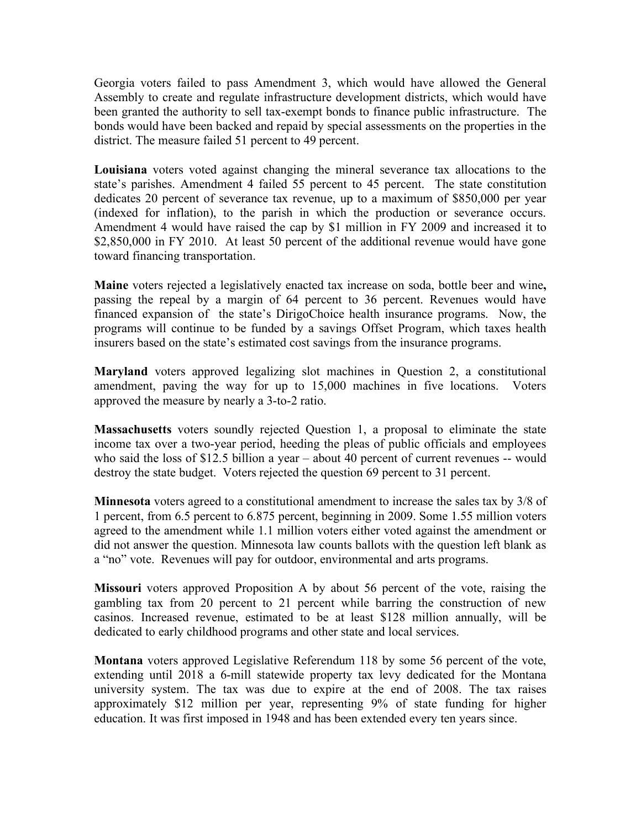Georgia voters failed to pass Amendment 3, which would have allowed the General Assembly to create and regulate infrastructure development districts, which would have been granted the authority to sell tax-exempt bonds to finance public infrastructure. The bonds would have been backed and repaid by special assessments on the properties in the district. The measure failed 51 percent to 49 percent.

**Louisiana** voters voted against changing the mineral severance tax allocations to the state's parishes. Amendment 4 failed 55 percent to 45 percent. The state constitution dedicates 20 percent of severance tax revenue, up to a maximum of \$850,000 per year (indexed for inflation), to the parish in which the production or severance occurs. Amendment 4 would have raised the cap by \$1 million in FY 2009 and increased it to \$2,850,000 in FY 2010. At least 50 percent of the additional revenue would have gone toward financing transportation.

**Maine** voters rejected a legislatively enacted tax increase on soda, bottle beer and wine**,**  passing the repeal by a margin of 64 percent to 36 percent. Revenues would have financed expansion of the state's DirigoChoice health insurance programs. Now, the programs will continue to be funded by a savings Offset Program, which taxes health insurers based on the state's estimated cost savings from the insurance programs.

**Maryland** voters approved legalizing slot machines in Question 2, a constitutional amendment, paving the way for up to 15,000 machines in five locations. Voters approved the measure by nearly a 3-to-2 ratio.

**Massachusetts** voters soundly rejected Question 1, a proposal to eliminate the state income tax over a two-year period, heeding the pleas of public officials and employees who said the loss of \$12.5 billion a year – about 40 percent of current revenues -- would destroy the state budget. Voters rejected the question 69 percent to 31 percent.

**Minnesota** voters agreed to a constitutional amendment to increase the sales tax by 3/8 of 1 percent, from 6.5 percent to 6.875 percent, beginning in 2009. Some 1.55 million voters agreed to the amendment while 1.1 million voters either voted against the amendment or did not answer the question. Minnesota law counts ballots with the question left blank as a "no" vote. Revenues will pay for outdoor, environmental and arts programs.

**Missouri** voters approved Proposition A by about 56 percent of the vote, raising the gambling tax from 20 percent to 21 percent while barring the construction of new casinos. Increased revenue, estimated to be at least \$128 million annually, will be dedicated to early childhood programs and other state and local services.

**Montana** voters approved Legislative Referendum 118 by some 56 percent of the vote, extending until 2018 a 6-mill statewide property tax levy dedicated for the Montana university system. The tax was due to expire at the end of 2008. The tax raises approximately \$12 million per year, representing 9% of state funding for higher education. It was first imposed in 1948 and has been extended every ten years since.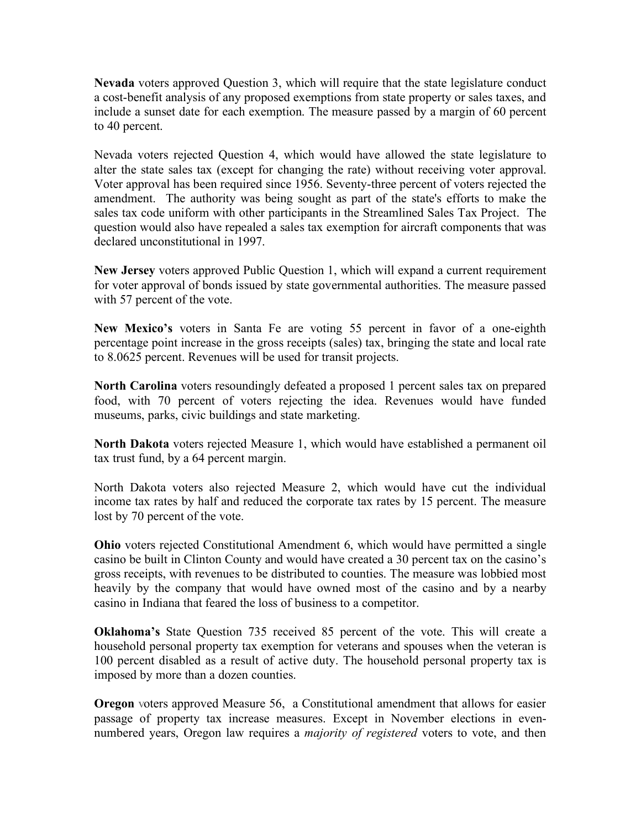**Nevada** voters approved Question 3, which will require that the state legislature conduct a cost-benefit analysis of any proposed exemptions from state property or sales taxes, and include a sunset date for each exemption. The measure passed by a margin of 60 percent to 40 percent.

Nevada voters rejected Question 4, which would have allowed the state legislature to alter the state sales tax (except for changing the rate) without receiving voter approval. Voter approval has been required since 1956. Seventy-three percent of voters rejected the amendment. The authority was being sought as part of the state's efforts to make the sales tax code uniform with other participants in the Streamlined Sales Tax Project. The question would also have repealed a sales tax exemption for aircraft components that was declared unconstitutional in 1997.

**New Jersey** voters approved Public Question 1, which will expand a current requirement for voter approval of bonds issued by state governmental authorities. The measure passed with 57 percent of the vote.

**New Mexico's** voters in Santa Fe are voting 55 percent in favor of a one-eighth percentage point increase in the gross receipts (sales) tax, bringing the state and local rate to 8.0625 percent. Revenues will be used for transit projects.

**North Carolina** voters resoundingly defeated a proposed 1 percent sales tax on prepared food, with 70 percent of voters rejecting the idea. Revenues would have funded museums, parks, civic buildings and state marketing.

**North Dakota** voters rejected Measure 1, which would have established a permanent oil tax trust fund, by a 64 percent margin.

North Dakota voters also rejected Measure 2, which would have cut the individual income tax rates by half and reduced the corporate tax rates by 15 percent. The measure lost by 70 percent of the vote.

**Ohio** voters rejected Constitutional Amendment 6, which would have permitted a single casino be built in Clinton County and would have created a 30 percent tax on the casino's gross receipts, with revenues to be distributed to counties. The measure was lobbied most heavily by the company that would have owned most of the casino and by a nearby casino in Indiana that feared the loss of business to a competitor.

**Oklahoma's** State Question 735 received 85 percent of the vote. This will create a household personal property tax exemption for veterans and spouses when the veteran is 100 percent disabled as a result of active duty. The household personal property tax is imposed by more than a dozen counties.

**Oregon** voters approved Measure 56, a Constitutional amendment that allows for easier passage of property tax increase measures. Except in November elections in evennumbered years, Oregon law requires a *majority of registered* voters to vote, and then